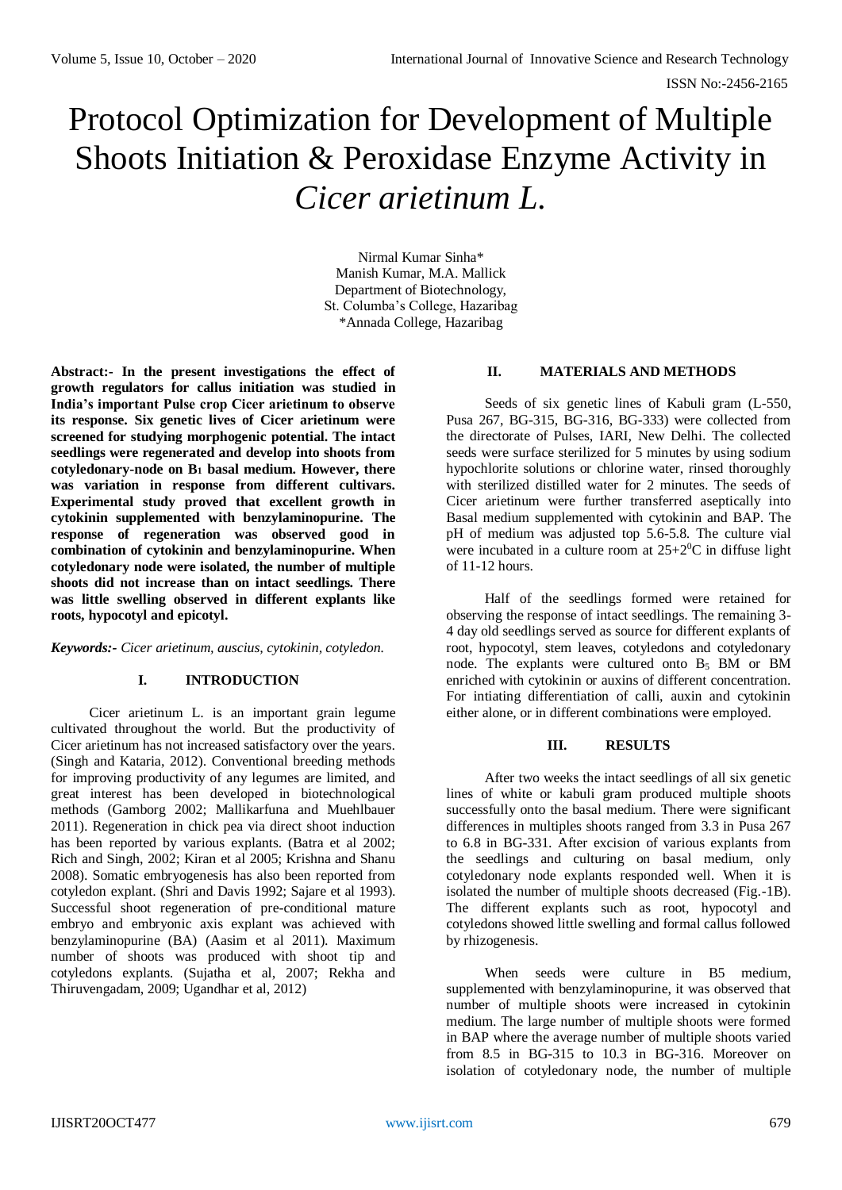# Protocol Optimization for Development of Multiple Shoots Initiation & Peroxidase Enzyme Activity in *Cicer arietinum L.*

Nirmal Kumar Sinha\* Manish Kumar, M.A. Mallick Department of Biotechnology, St. Columba's College, Hazaribag \*Annada College, Hazaribag

**Abstract:- In the present investigations the effect of growth regulators for callus initiation was studied in India's important Pulse crop Cicer arietinum to observe its response. Six genetic lives of Cicer arietinum were screened for studying morphogenic potential. The intact seedlings were regenerated and develop into shoots from cotyledonary-node on B<sup>1</sup> basal medium. However, there was variation in response from different cultivars. Experimental study proved that excellent growth in cytokinin supplemented with benzylaminopurine. The response of regeneration was observed good in combination of cytokinin and benzylaminopurine. When cotyledonary node were isolated, the number of multiple shoots did not increase than on intact seedlings. There was little swelling observed in different explants like roots, hypocotyl and epicotyl.**

*Keywords:- Cicer arietinum, auscius, cytokinin, cotyledon.*

## **I. INTRODUCTION**

Cicer arietinum L. is an important grain legume cultivated throughout the world. But the productivity of Cicer arietinum has not increased satisfactory over the years. (Singh and Kataria, 2012). Conventional breeding methods for improving productivity of any legumes are limited, and great interest has been developed in biotechnological methods (Gamborg 2002; Mallikarfuna and Muehlbauer 2011). Regeneration in chick pea via direct shoot induction has been reported by various explants. (Batra et al 2002; Rich and Singh, 2002; Kiran et al 2005; Krishna and Shanu 2008). Somatic embryogenesis has also been reported from cotyledon explant. (Shri and Davis 1992; Sajare et al 1993). Successful shoot regeneration of pre-conditional mature embryo and embryonic axis explant was achieved with benzylaminopurine (BA) (Aasim et al 2011). Maximum number of shoots was produced with shoot tip and cotyledons explants. (Sujatha et al, 2007; Rekha and Thiruvengadam, 2009; Ugandhar et al, 2012)

## **II. MATERIALS AND METHODS**

Seeds of six genetic lines of Kabuli gram (L-550, Pusa 267, BG-315, BG-316, BG-333) were collected from the directorate of Pulses, IARI, New Delhi. The collected seeds were surface sterilized for 5 minutes by using sodium hypochlorite solutions or chlorine water, rinsed thoroughly with sterilized distilled water for 2 minutes. The seeds of Cicer arietinum were further transferred aseptically into Basal medium supplemented with cytokinin and BAP. The pH of medium was adjusted top 5.6-5.8. The culture vial were incubated in a culture room at  $25+2$ <sup>0</sup>C in diffuse light of 11-12 hours.

Half of the seedlings formed were retained for observing the response of intact seedlings. The remaining 3- 4 day old seedlings served as source for different explants of root, hypocotyl, stem leaves, cotyledons and cotyledonary node. The explants were cultured onto B<sup>5</sup> BM or BM enriched with cytokinin or auxins of different concentration. For intiating differentiation of calli, auxin and cytokinin either alone, or in different combinations were employed.

## **III. RESULTS**

After two weeks the intact seedlings of all six genetic lines of white or kabuli gram produced multiple shoots successfully onto the basal medium. There were significant differences in multiples shoots ranged from 3.3 in Pusa 267 to 6.8 in BG-331. After excision of various explants from the seedlings and culturing on basal medium, only cotyledonary node explants responded well. When it is isolated the number of multiple shoots decreased (Fig.-1B). The different explants such as root, hypocotyl and cotyledons showed little swelling and formal callus followed by rhizogenesis.

When seeds were culture in B5 medium, supplemented with benzylaminopurine, it was observed that number of multiple shoots were increased in cytokinin medium. The large number of multiple shoots were formed in BAP where the average number of multiple shoots varied from 8.5 in BG-315 to 10.3 in BG-316. Moreover on isolation of cotyledonary node, the number of multiple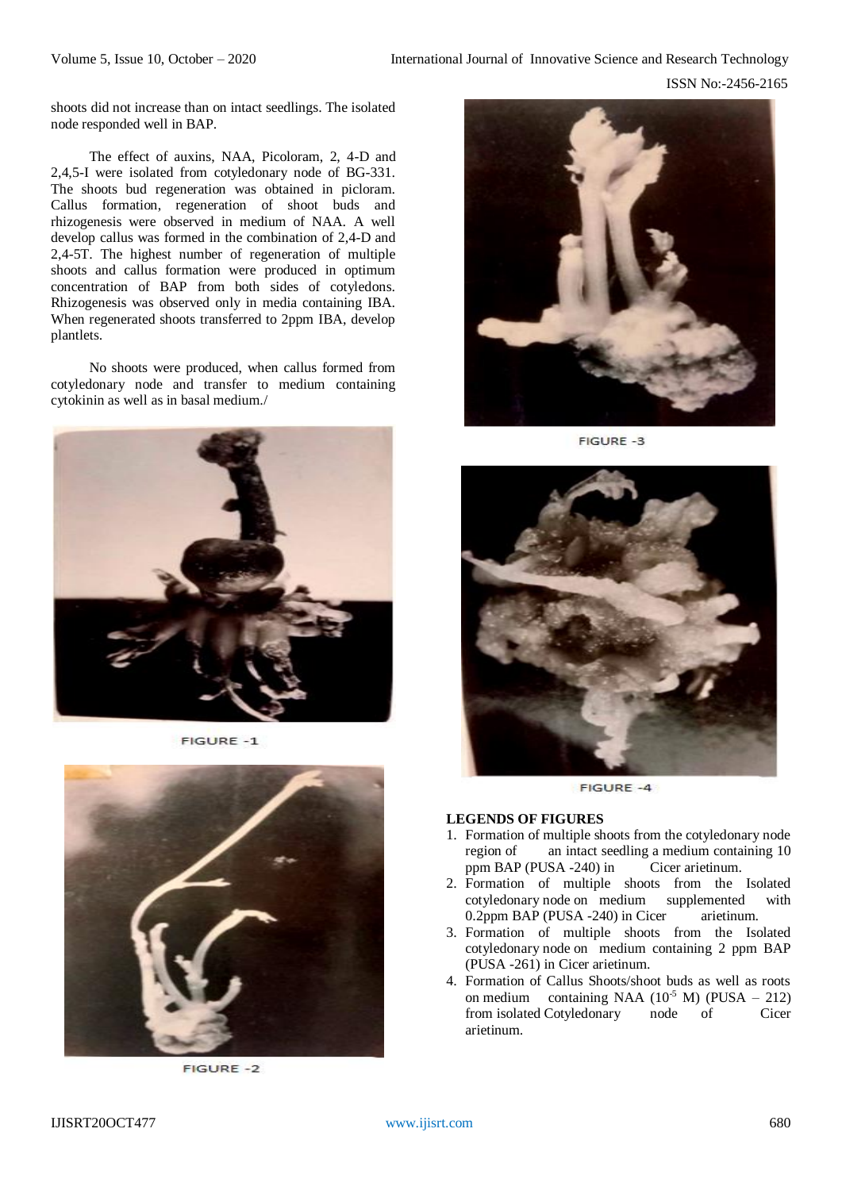shoots did not increase than on intact seedlings. The isolated node responded well in BAP.

The effect of auxins, NAA, Picoloram, 2, 4-D and 2,4,5-I were isolated from cotyledonary node of BG-331. The shoots bud regeneration was obtained in picloram. Callus formation, regeneration of shoot buds and rhizogenesis were observed in medium of NAA. A well develop callus was formed in the combination of 2,4-D and 2,4-5T. The highest number of regeneration of multiple shoots and callus formation were produced in optimum concentration of BAP from both sides of cotyledons. Rhizogenesis was observed only in media containing IBA. When regenerated shoots transferred to 2ppm IBA, develop plantlets.

No shoots were produced, when callus formed from cotyledonary node and transfer to medium containing cytokinin as well as in basal medium./



FIGURE -1



**FIGURE -2** 



FIGURE -3



**FIGURE -4** 

#### **LEGENDS OF FIGURES**

- 1. Formation of multiple shoots from the cotyledonary node region of an intact seedling a medium containing 10 ppm BAP (PUSA -240) in Cicer arietinum.
- 2. Formation of multiple shoots from the Isolated cotyledonary node on medium supplemented with 0.2ppm BAP (PUSA -240) in Cicer arietinum.
- 3. Formation of multiple shoots from the Isolated cotyledonary node on medium containing 2 ppm BAP (PUSA -261) in Cicer arietinum.
- 4. Formation of Callus Shoots/shoot buds as well as roots on medium containing NAA  $(10^5 \text{ M})$  (PUSA – 212)<br>from isolated Cotyledonary node of Cicer from isolated Cotyledonary node of arietinum.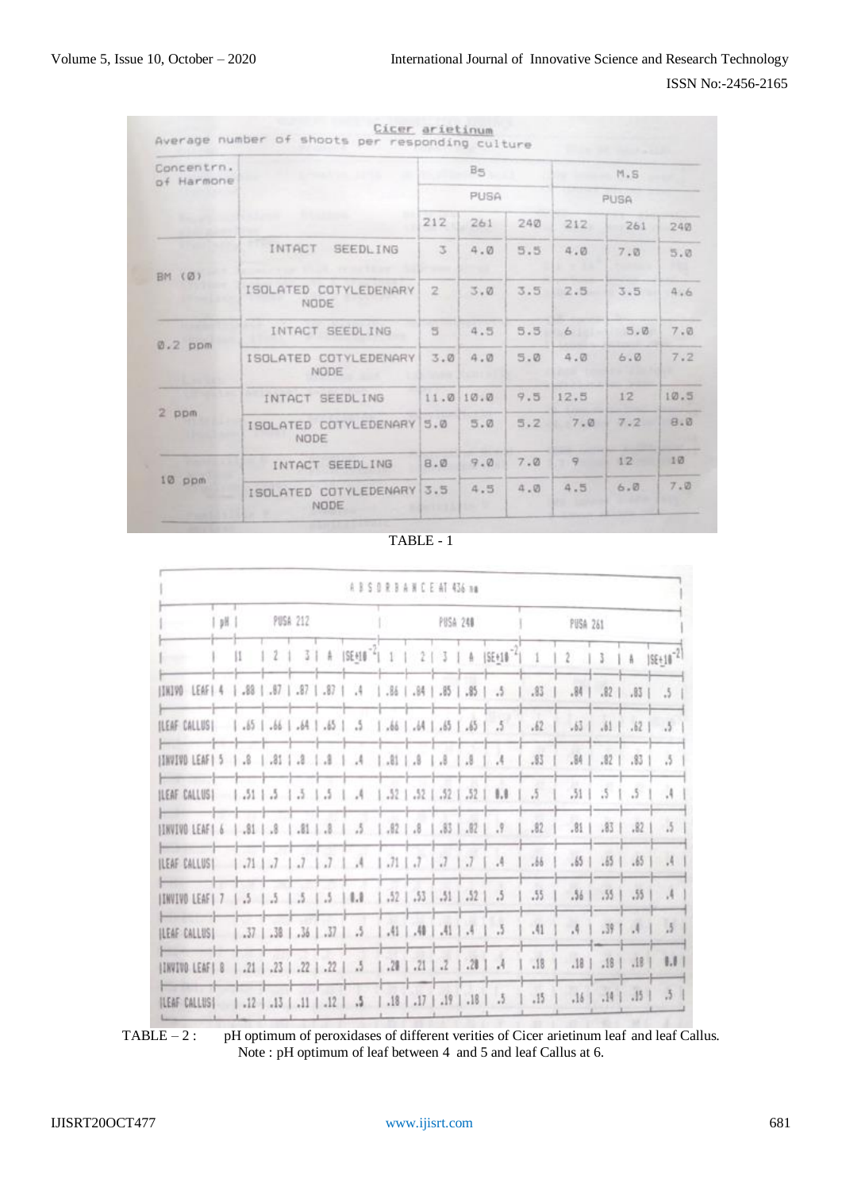| Concentrn.<br>of Harmone |                                   |     | Bs       |     | M.S<br>PUSA  |                 |      |  |  |
|--------------------------|-----------------------------------|-----|----------|-----|--------------|-----------------|------|--|--|
|                          |                                   |     | PUSA     |     |              |                 |      |  |  |
|                          |                                   | 212 | 261      | 240 |              | 261             | 240  |  |  |
|                          | INTACT<br><b>SEEDLING</b>         | 3.  | 4.0      | 5.5 | 4.0          | 7.0             | 5.0  |  |  |
| BM (Ø)                   | ISOLATED COTYLEDENARY<br>NODE     | 2   | 3.0      | 3.5 | 2.5          | 3.5             | 4.6  |  |  |
| $0.2$ ppm                | INTACT SEEDLING                   | 5   | 4.5      | 5.5 | 6            | 5.0             | 7.0  |  |  |
|                          | ISOLATED COTYLEDENARY<br>NODE     | 3.0 | 4.0      | 5.0 | 4.0          | 6.0             | 7.2  |  |  |
|                          | INTACT SEEDLING                   |     | 11.010.0 | 9.5 | 12.5         | 12              | 10.5 |  |  |
| $2$ ppm                  | ISOLATED COTYLEDENARY 5.0<br>NODE |     | 5.0      | 5.2 | 7.0          | 7.2             | B.B  |  |  |
| $10 p$ m                 | INTACT SEEDLING                   | 8.0 | 9.0      | 7.0 | $\mathbb{Q}$ | 12 <sup>°</sup> | 10   |  |  |
|                          | ISOLATED COTYLEDENARY 3.5<br>NODE |     | 4.5      | a.0 | 4.5          | 6.0             | 7.0  |  |  |

TABLE - 1

|                                                                                                      |   |   |  |  | A B S 0 R B A H C E AT 436 mg                                         |  |  |             |                                           |               |             |                          |                |                          |
|------------------------------------------------------------------------------------------------------|---|---|--|--|-----------------------------------------------------------------------|--|--|-------------|-------------------------------------------|---------------|-------------|--------------------------|----------------|--------------------------|
| -                                                                                                    | y |   |  |  | PUSA 248                                                              |  |  | PUSA 261    |                                           |               |             |                          |                |                          |
| <b>General</b>                                                                                       |   | и |  |  |                                                                       |  |  |             | 2   3   4   SEHIB 1   2   3   4   SEHIB 1 | $\mathcal{X}$ | $2^{\circ}$ |                          |                | $3$   A   $ SE+10^{-2} $ |
| 3.   85.   85.   85.   85.   87.   87.   87.   87.   87.   88.   89.   89.   89.   89.   89.   89.   |   |   |  |  |                                                                       |  |  |             |                                           | .83           | .84.        | $.82$                    |                | $.83$   $.5$             |
| REAF CALLUS  1.65   .66   .64   .65   .65   .66   .66   .65   .65   .65   .65   .65   .65   .65   .  |   |   |  |  |                                                                       |  |  |             |                                           | .62           | .63         | $.61$                    | $.62 \text{ }$ | $\sim$                   |
|                                                                                                      |   |   |  |  |                                                                       |  |  |             |                                           |               | .84         | $.82 +$                  | .83            | $\Lambda$                |
| ILEAF CALLUS    .51   .5   .5   .5   .4   .52   .52   .52   .52                                      |   |   |  |  |                                                                       |  |  |             | 1.1                                       | $\sqrt{5}$    | , 51        | $5 -$                    | $.5^{\circ}$   | $\mathcal{A}$            |
| [33.   35.   36.   36.   36.   36.   36.   36.   37.   38.   39.   39.   39.   39.   39.   39.   39. |   |   |  |  |                                                                       |  |  |             | .9 <sub>z</sub>                           | .82           | .81         | $.83$                    | .82            | .5                       |
| REAF CALLUS     .71   .7   .7   .7   .4   .71   .7   .7                                              |   |   |  |  |                                                                       |  |  | $\vert$ $J$ | .4                                        | .56           | .65         | $.65$                    | .65            | .4                       |
| INVIVO LEAF  7   .5   .5   .5   .5   0.8   .52   .53   .51   .52                                     |   |   |  |  |                                                                       |  |  |             | .5                                        | .55.          | .56         | .55 <sub>1</sub>         | .55            | $\mathcal{A}$            |
| <b>ILEAF CALLUSI</b>                                                                                 |   |   |  |  | $[37]$ $[36]$ $[36]$ $[37]$ $[5]$ $[4]$ $[4]$ $[4]$                   |  |  |             | .5                                        | .41.          | .4.         | 1.391.4                  |                | $\Lambda$                |
| ITAVIVO LEAFI 8                                                                                      |   |   |  |  | $1.21$   $.23$   $.22$   $.22$   $.5$   $.21$   $.21$   $.2$   $.23$  |  |  |             | $\cdot$                                   | .18.          |             | $181.18$ $181.18$        |                | $\mathbb{L}$             |
| ILEAF CALLUSI                                                                                        |   |   |  |  | $1.12$   $.13$   $.11$   $.12$   $.5$   $.18$   $.17$   $.19$   $.18$ |  |  |             | $\frac{1}{2}$                             | $.15 -$       |             | $, 16$   $, 14$   $, 15$ |                | .5 <sub>1</sub>          |

TABLE – 2 : pH optimum of peroxidases of different verities of Cicer arietinum leaf and leaf Callus. Note : pH optimum of leaf between 4 and 5 and leaf Callus at 6.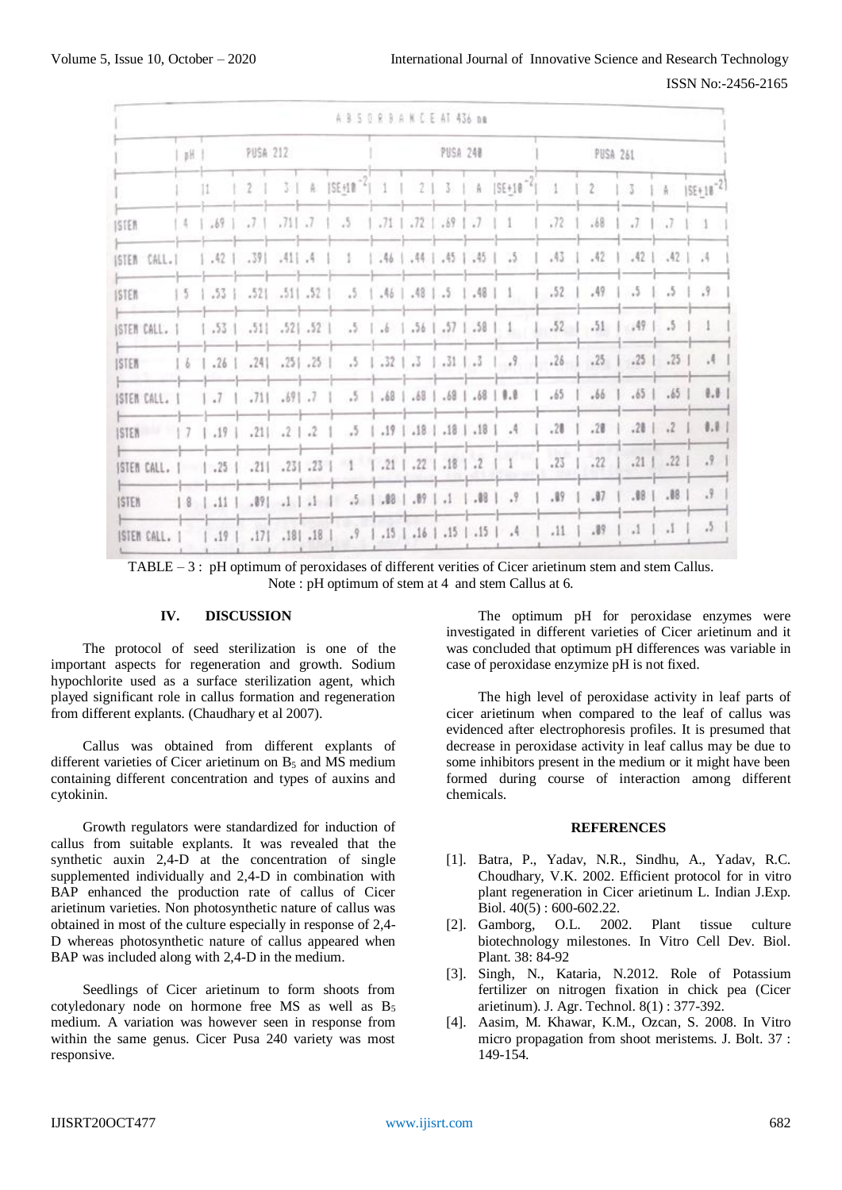ISSN No:-2456-2165

|                                      |   |                  |                                                                |                      |  | A 3 5 0 8 3 A N C E AT 436 nm                              |  |                                                   |          |                                                                                                          |                 |      |                                                 |               |       |  |
|--------------------------------------|---|------------------|----------------------------------------------------------------|----------------------|--|------------------------------------------------------------|--|---------------------------------------------------|----------|----------------------------------------------------------------------------------------------------------|-----------------|------|-------------------------------------------------|---------------|-------|--|
|                                      | H | PUSA 212         |                                                                |                      |  |                                                            |  |                                                   | PUSA 240 |                                                                                                          | <b>PUSA 261</b> |      |                                                 |               |       |  |
|                                      |   | $\mathbf{11}$    | 2 <sub>1</sub>                                                 |                      |  |                                                            |  |                                                   |          | 3   A   SE_10 <sup>-2</sup>   1   2   3   A   SE_10 <sup>-2</sup>   1   2   3   A   SE_10 <sup>-2]</sup> |                 |      |                                                 |               |       |  |
| <b>ISTER</b>                         |   | $1.4$ $.69$ $.7$ |                                                                |                      |  | $.711$ $.7$ $1$ $.5$                                       |  | $1.71$ $1.72$ $1.89$ $1.7$ $1.1$                  |          |                                                                                                          | .72             | .68  | $\overline{J}$                                  |               | n.    |  |
| ISTEM CALL.I                         |   |                  | $.42$   $.39$   $.41$   $.4$                                   |                      |  | -1                                                         |  |                                                   |          | $1.46$ $1.44$ $1.45$ $1.45$ $1.5$                                                                        | .43             | .42  | $1.42$ $.42$ $.4$                               |               |       |  |
| <b>ISTEM</b>                         |   |                  | $\begin{bmatrix} 5 & 1 & .53 & 321 & .511 & .52 \end{bmatrix}$ |                      |  |                                                            |  | $.5$   $.46$   $.48$   $.5$   $.48$               |          | -15                                                                                                      | .52             | .49  | $\frac{1}{2}$                                   | 3             | .9    |  |
| ISTEM CALL. I                        |   |                  | $.53$   $.51$   $.52$   $.52$                                  |                      |  |                                                            |  | $.5 \t1.6 \t1.56 \t1.57 \t1.58$                   |          | $\mathbf{1}$                                                                                             | $.52 \;  $      | .51  | 1.49.5                                          |               |       |  |
| ISTER                                |   | $6$   .26        | $.241$ $.251$ $.251$                                           |                      |  |                                                            |  |                                                   |          | $.5$   $.32$   $.3$   $.31$   $.3$   $.9$   $.26$                                                        |                 | .25. |                                                 | $.25$   $.25$ | $-14$ |  |
| ISTEM CALL.                          |   | .7               |                                                                | $.711$ $.691$ $.71$  |  |                                                            |  | $.5$   $.68$   $.68$   $.68$   $.68$   <b>8.8</b> |          |                                                                                                          | .65             | .66  | $.65$                                           | $.65$         | 0.0   |  |
| ISTER   7                            |   | $.19$            |                                                                | $.211$ $.212$        |  |                                                            |  |                                                   |          | .5   .19   .18   .18   .18   .1                                                                          | .28             | .28  |                                                 | $.20 \div 2$  | 0.01  |  |
| STEM CALL.     .25   .21   .23   .23 |   |                  |                                                                |                      |  | $1 \t1.21 \t1.22 \t1.18 \t1.2$                             |  |                                                   |          | $\Box$                                                                                                   | .23             | .22  |                                                 | $.21$ .22     | .9    |  |
| <b>ISTER</b>                         |   |                  |                                                                |                      |  | $18$   .11   .89  .1   .1   .5   .89   .89   .1   .88   .7 |  |                                                   |          |                                                                                                          | .89             | .07  |                                                 | $.08$ $.08$   | .9    |  |
| ISTEM CALL. I                        |   | $\frac{1}{2}$    |                                                                | $.171$ $.181$ $.181$ |  |                                                            |  |                                                   |          | $.9$   $.15$   $.16$   $.15$   $.15$   $.4$                                                              | .11             | .89  | $\lfloor \cdot \rfloor$ $\lfloor \cdot \rfloor$ |               | .5    |  |

TABLE – 3 : pH optimum of peroxidases of different verities of Cicer arietinum stem and stem Callus. Note : pH optimum of stem at 4 and stem Callus at 6.

## **IV. DISCUSSION**

The protocol of seed sterilization is one of the important aspects for regeneration and growth. Sodium hypochlorite used as a surface sterilization agent, which played significant role in callus formation and regeneration from different explants. (Chaudhary et al 2007).

Callus was obtained from different explants of different varieties of Cicer arietinum on  $B_5$  and MS medium containing different concentration and types of auxins and cytokinin.

Growth regulators were standardized for induction of callus from suitable explants. It was revealed that the synthetic auxin 2,4-D at the concentration of single supplemented individually and 2.4-D in combination with BAP enhanced the production rate of callus of Cicer arietinum varieties. Non photosynthetic nature of callus was obtained in most of the culture especially in response of 2,4- D whereas photosynthetic nature of callus appeared when BAP was included along with 2,4-D in the medium.

Seedlings of Cicer arietinum to form shoots from cotyledonary node on hormone free MS as well as B<sup>5</sup> medium. A variation was however seen in response from within the same genus. Cicer Pusa 240 variety was most responsive.

The optimum pH for peroxidase enzymes were investigated in different varieties of Cicer arietinum and it was concluded that optimum pH differences was variable in case of peroxidase enzymize pH is not fixed.

The high level of peroxidase activity in leaf parts of cicer arietinum when compared to the leaf of callus was evidenced after electrophoresis profiles. It is presumed that decrease in peroxidase activity in leaf callus may be due to some inhibitors present in the medium or it might have been formed during course of interaction among different chemicals.

#### **REFERENCES**

- [1]. Batra, P., Yadav, N.R., Sindhu, A., Yadav, R.C. Choudhary, V.K. 2002. Efficient protocol for in vitro plant regeneration in Cicer arietinum L. Indian J.Exp. Biol. 40(5) : 600-602.22.
- [2]. Gamborg, O.L. 2002. Plant tissue culture biotechnology milestones. In Vitro Cell Dev. Biol. Plant. 38: 84-92
- [3]. Singh, N., Kataria, N.2012. Role of Potassium fertilizer on nitrogen fixation in chick pea (Cicer arietinum). J. Agr. Technol. 8(1) : 377-392.
- [4]. Aasim, M. Khawar, K.M., Ozcan, S. 2008. In Vitro micro propagation from shoot meristems. J. Bolt. 37 : 149-154.